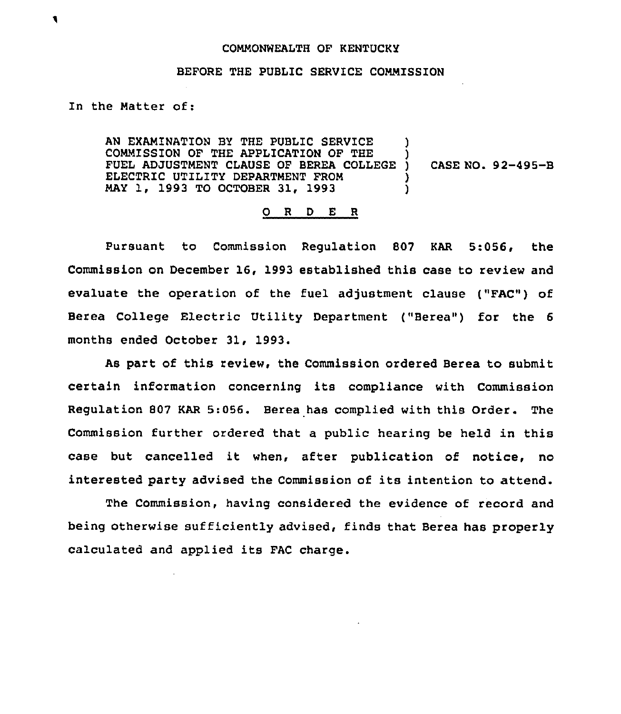## COMMONWEALTH OF KENTUCKY

## BEFORE THE PUBLIC SERVICE COMMISSION

## In the Matter of:

AN EXAMINATION BY THE PUBLIC SERVICE COMMISSION OF THE APPLICATION OF THE )<br>FUEL ADJUSTMENT CLAUSE OF BEREA COLLEGE ) FUEL ADJUSTMENT CLAUSE OF BEREA COLLEGE ) ELECTRIC UTILITY DEPARTMENT FROM MAY 1, 1993 TO OCTOBER 31, 1993 ) CASE NO. 92-495-B

## 0 <sup>R</sup> <sup>D</sup> E <sup>R</sup>

Pursuant to Commission Regulation 807 KAR 5:056, the Commission on December 16, 1993 established this case to review and evaluate the operation of the fuel adjustment clause {"FAC") of Berea College Electric Utility Department ("Berea") for the <sup>6</sup> months ended October 31, 1993.

As part of this review, the Commission ordered Berea to submit certain information concerning its compliance with Commission Regulation 807 KAR 5:056. Berea has complied with this Order. The Commission further ordered that a public hearing be held in this case but cancelled it when, after publication of notice, no interested party advised the Commission of its intention to attend.

The Commission, having considered the evidence of record and being otherwise sufficiently advised, finds that Berea has properly calculated and applied its FAC charge.

۹